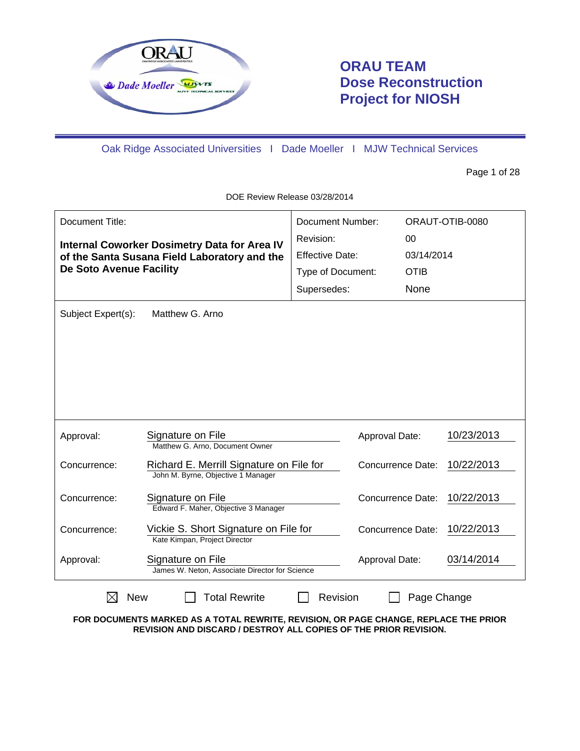

# **ORAU TEAM Dose Reconstruction Project for NIOSH**

Oak Ridge Associated Universities I Dade Moeller I MJW Technical Services

Page 1 of 28

DOE Review Release 03/28/2014

| Document Title:<br>De Soto Avenue Facility<br>Subject Expert(s): | <b>Internal Coworker Dosimetry Data for Area IV</b><br>of the Santa Susana Field Laboratory and the<br>Matthew G. Arno | Document Number:<br>Revision:<br><b>Effective Date:</b><br>Type of Document:<br>Supersedes: |                          | 00<br>03/14/2014<br><b>OTIB</b><br>None | ORAUT-OTIB-0080 |
|------------------------------------------------------------------|------------------------------------------------------------------------------------------------------------------------|---------------------------------------------------------------------------------------------|--------------------------|-----------------------------------------|-----------------|
| Approval:                                                        | Signature on File<br>Matthew G. Arno, Document Owner                                                                   |                                                                                             | Approval Date:           |                                         | 10/23/2013      |
| Concurrence:                                                     | Richard E. Merrill Signature on File for<br>John M. Byrne, Objective 1 Manager                                         |                                                                                             | Concurrence Date:        |                                         | 10/22/2013      |
| Concurrence:                                                     | Signature on File<br>Edward F. Maher, Objective 3 Manager                                                              |                                                                                             | <b>Concurrence Date:</b> |                                         | 10/22/2013      |
| Concurrence:                                                     | Vickie S. Short Signature on File for<br>Kate Kimpan, Project Director                                                 |                                                                                             | Concurrence Date:        |                                         | 10/22/2013      |
| Approval:                                                        | Signature on File<br>James W. Neton, Associate Director for Science                                                    |                                                                                             | Approval Date:           |                                         | 03/14/2014      |
| New                                                              | <b>Total Rewrite</b>                                                                                                   | Revision                                                                                    |                          | Page Change                             |                 |

**FOR DOCUMENTS MARKED AS A TOTAL REWRITE, REVISION, OR PAGE CHANGE, REPLACE THE PRIOR REVISION AND DISCARD / DESTROY ALL COPIES OF THE PRIOR REVISION.**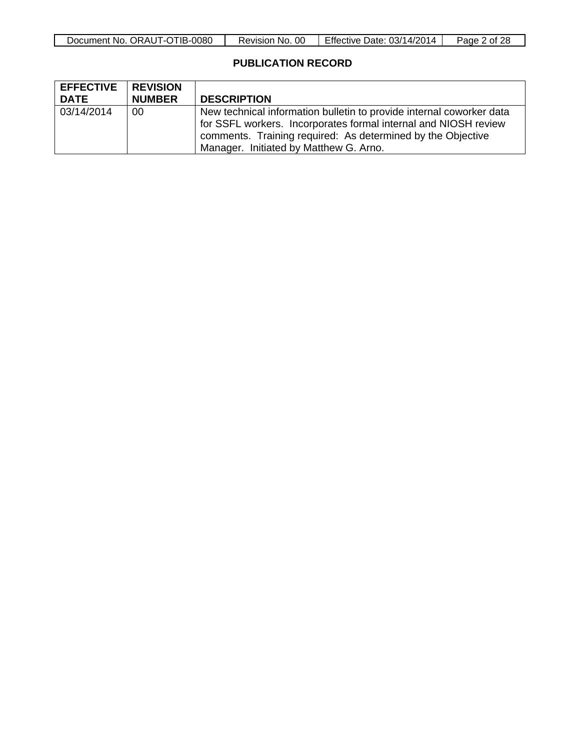## **PUBLICATION RECORD**

| <b>EFFECTIVE</b> | <b>REVISION</b> |                                                                                                                                                                                                                                                  |
|------------------|-----------------|--------------------------------------------------------------------------------------------------------------------------------------------------------------------------------------------------------------------------------------------------|
| <b>DATE</b>      | <b>NUMBER</b>   | <b>DESCRIPTION</b>                                                                                                                                                                                                                               |
| 03/14/2014       | 00              | New technical information bulletin to provide internal coworker data<br>for SSFL workers. Incorporates formal internal and NIOSH review<br>comments. Training required: As determined by the Objective<br>Manager. Initiated by Matthew G. Arno. |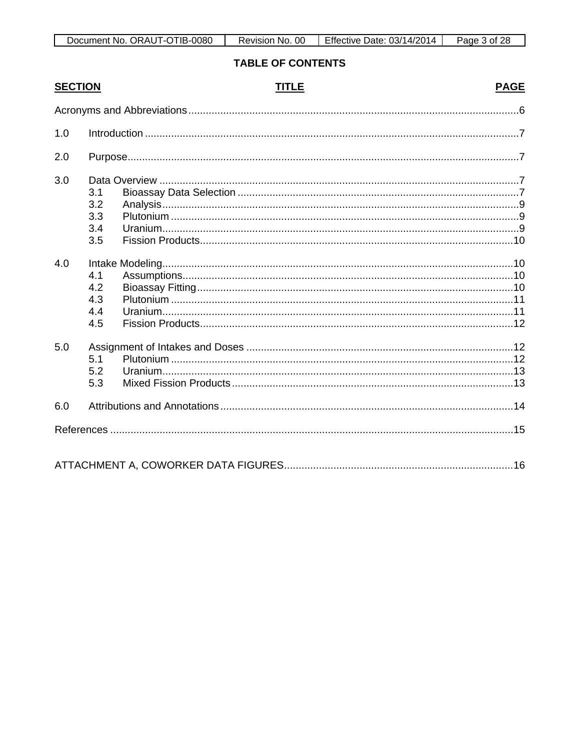| Document No. ORAUT-OTIB-0080 | Revision No. 00 | Effective Date: 03/14/2014 | Page 3 of 28 |
|------------------------------|-----------------|----------------------------|--------------|

# **TABLE OF CONTENTS**

| <b>SECTION</b> |                                 | <b>TITLE</b> | <b>PAGE</b> |
|----------------|---------------------------------|--------------|-------------|
|                |                                 |              |             |
| 1.0            |                                 |              |             |
| 2.0            |                                 |              |             |
| 3.0            | 3.1<br>3.2<br>3.3<br>3.4<br>3.5 |              |             |
| 4.0            | 4.1<br>4.2<br>4.3<br>4.4<br>4.5 |              |             |
| 5.0            | 5.1<br>5.2<br>5.3               |              |             |
| 6.0            |                                 |              |             |
|                |                                 |              |             |
|                |                                 |              |             |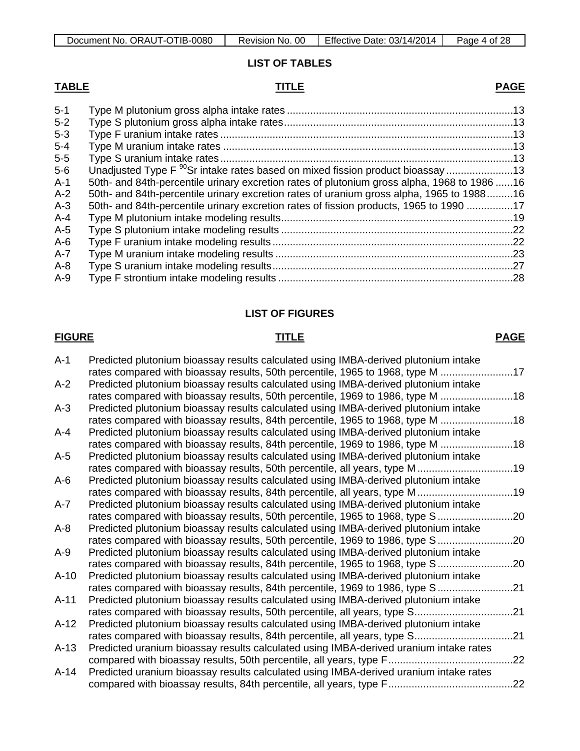#### **LIST OF TABLES**

### **TABLE TITLE PAGE**

#### 5-1 Type M plutonium gross alpha intake rates ..............................................................................13 5-2 Type S plutonium gross alpha intake rates...............................................................................13 5-3 Type F uranium intake rates .....................................................................................................13 5-4 Type M uranium intake rates ....................................................................................................13 5-5 Type S uranium intake rates .....................................................................................................13 Unadjusted Type F <sup>90</sup>Sr intake rates based on mixed fission product bioassay .........................13 A-1 50th- and 84th-percentile urinary excretion rates of plutonium gross alpha, 1968 to 1986 ......16<br>A-2 50th- and 84th-percentile urinary excretion rates of uranium gross alpha, 1965 to 1988 .........16 50th- and 84th-percentile urinary excretion rates of uranium gross alpha, 1965 to 1988.........16 A-3 50th- and 84th-percentile urinary excretion rates of fission products, 1965 to 1990 ................17 A-4 Type M plutonium intake modeling results................................................................................19 A-5 Type S plutonium intake modeling results ................................................................................22 A-6 Type F uranium intake modeling results ...................................................................................22 A-7 Type M uranium intake modeling results ..................................................................................23

| A-8 |  |
|-----|--|
| A-9 |  |

#### **LIST OF FIGURES**

#### **FIGURE TITLE PAGE**

#### A-1 Predicted plutonium bioassay results calculated using IMBA-derived plutonium intake rates compared with bioassay results, 50th percentile, 1965 to 1968, type M .........................17 A-2 Predicted plutonium bioassay results calculated using IMBA-derived plutonium intake rates compared with bioassay results, 50th percentile, 1969 to 1986, type M .........................18 A-3 Predicted plutonium bioassay results calculated using IMBA-derived plutonium intake rates compared with bioassay results, 84th percentile, 1965 to 1968, type M .........................18 A-4 Predicted plutonium bioassay results calculated using IMBA-derived plutonium intake rates compared with bioassay results, 84th percentile, 1969 to 1986, type M .........................18 A-5 Predicted plutonium bioassay results calculated using IMBA-derived plutonium intake rates compared with bioassay results, 50th percentile, all years, type M .................................19 A-6 Predicted plutonium bioassay results calculated using IMBA-derived plutonium intake rates compared with bioassay results, 84th percentile, all years, type M .................................19 A-7 Predicted plutonium bioassay results calculated using IMBA-derived plutonium intake rates compared with bioassay results, 50th percentile, 1965 to 1968, type S.................................. A-8 Predicted plutonium bioassay results calculated using IMBA-derived plutonium intake rates compared with bioassay results, 50th percentile, 1969 to 1986, type S...............................20 A-9 Predicted plutonium bioassay results calculated using IMBA-derived plutonium intake rates compared with bioassay results, 84th percentile, 1965 to 1968, type S.................................. A-10 Predicted plutonium bioassay results calculated using IMBA-derived plutonium intake rates compared with bioassay results, 84th percentile, 1969 to 1986, type S.........................21 A-11 Predicted plutonium bioassay results calculated using IMBA-derived plutonium intake rates compared with bioassay results, 50th percentile, all years, type S..................................21 A-12 Predicted plutonium bioassay results calculated using IMBA-derived plutonium intake rates compared with bioassay results, 84th percentile, all years, type S..................................21 A-13 Predicted uranium bioassay results calculated using IMBA-derived uranium intake rates

compared with bioassay results, 50th percentile, all years, type F...........................................22 A-14 Predicted uranium bioassay results calculated using IMBA-derived uranium intake rates compared with bioassay results, 84th percentile, all years, type F...........................................22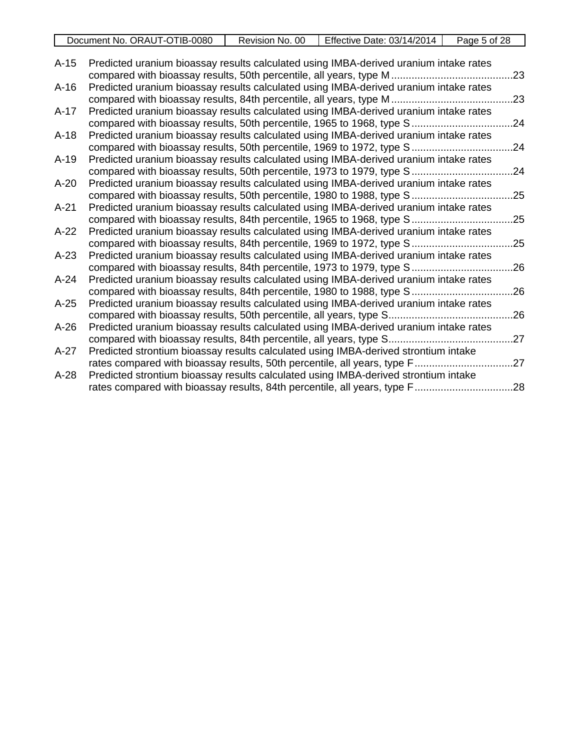|        | Document No. ORAUT-OTIB-0080                                                          | Revision No. 00 | Effective Date: 03/14/2014 | Page 5 of 28 |
|--------|---------------------------------------------------------------------------------------|-----------------|----------------------------|--------------|
|        |                                                                                       |                 |                            |              |
| $A-15$ | Predicted uranium bioassay results calculated using IMBA-derived uranium intake rates |                 |                            | .23          |
|        |                                                                                       |                 |                            |              |
| $A-16$ | Predicted uranium bioassay results calculated using IMBA-derived uranium intake rates |                 |                            |              |
|        | compared with bioassay results, 84th percentile, all years, type M                    |                 |                            | .23          |
| $A-17$ | Predicted uranium bioassay results calculated using IMBA-derived uranium intake rates |                 |                            |              |
|        | compared with bioassay results, 50th percentile, 1965 to 1968, type S                 |                 |                            | .24          |
| $A-18$ | Predicted uranium bioassay results calculated using IMBA-derived uranium intake rates |                 |                            |              |
|        | compared with bioassay results, 50th percentile, 1969 to 1972, type S                 |                 |                            | .24          |
| $A-19$ | Predicted uranium bioassay results calculated using IMBA-derived uranium intake rates |                 |                            |              |
|        | compared with bioassay results, 50th percentile, 1973 to 1979, type S                 |                 |                            | .24          |
| $A-20$ | Predicted uranium bioassay results calculated using IMBA-derived uranium intake rates |                 |                            |              |
|        | compared with bioassay results, 50th percentile, 1980 to 1988, type S                 |                 |                            | .25          |
| $A-21$ | Predicted uranium bioassay results calculated using IMBA-derived uranium intake rates |                 |                            |              |
|        | compared with bioassay results, 84th percentile, 1965 to 1968, type S                 |                 |                            | .25          |
| $A-22$ | Predicted uranium bioassay results calculated using IMBA-derived uranium intake rates |                 |                            |              |
|        | compared with bioassay results, 84th percentile, 1969 to 1972, type S                 |                 |                            | .25          |
| $A-23$ | Predicted uranium bioassay results calculated using IMBA-derived uranium intake rates |                 |                            |              |
|        | compared with bioassay results, 84th percentile, 1973 to 1979, type S                 |                 |                            | .26          |
| $A-24$ | Predicted uranium bioassay results calculated using IMBA-derived uranium intake rates |                 |                            |              |
|        | compared with bioassay results, 84th percentile, 1980 to 1988, type S                 |                 |                            | .26          |
| $A-25$ | Predicted uranium bioassay results calculated using IMBA-derived uranium intake rates |                 |                            |              |
|        | compared with bioassay results, 50th percentile, all years, type S                    |                 |                            | .26          |
| $A-26$ | Predicted uranium bioassay results calculated using IMBA-derived uranium intake rates |                 |                            |              |
|        |                                                                                       |                 |                            |              |
| $A-27$ | Predicted strontium bioassay results calculated using IMBA-derived strontium intake   |                 |                            |              |
|        |                                                                                       |                 |                            | .27          |
| $A-28$ | Predicted strontium bioassay results calculated using IMBA-derived strontium intake   |                 |                            |              |

rates compared with bioassay results, 84th percentile, all years, type F..................................28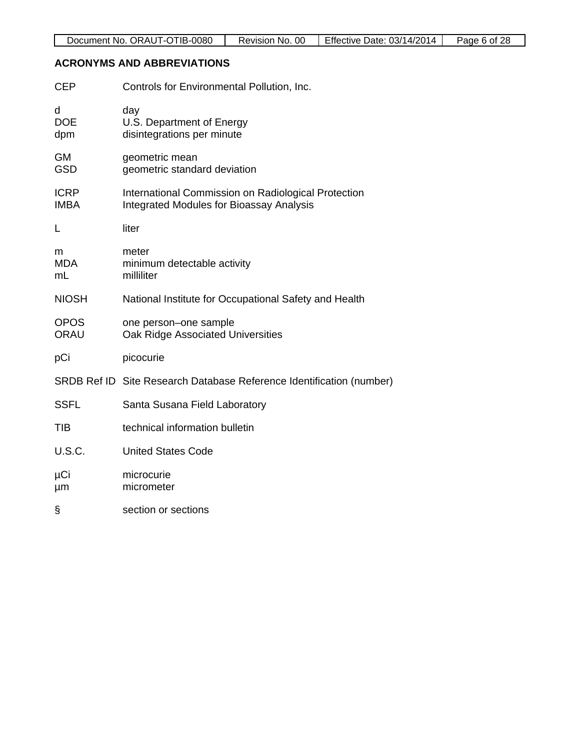## **ACRONYMS AND ABBREVIATIONS**

| <b>CEP</b>                 | Controls for Environmental Pollution, Inc.                                                             |
|----------------------------|--------------------------------------------------------------------------------------------------------|
| d<br><b>DOE</b><br>dpm     | day<br>U.S. Department of Energy<br>disintegrations per minute                                         |
| <b>GM</b><br><b>GSD</b>    | geometric mean<br>geometric standard deviation                                                         |
| <b>ICRP</b><br><b>IMBA</b> | International Commission on Radiological Protection<br><b>Integrated Modules for Bioassay Analysis</b> |
| L                          | liter                                                                                                  |
| m<br><b>MDA</b><br>mL      | meter<br>minimum detectable activity<br>milliliter                                                     |
| <b>NIOSH</b>               | National Institute for Occupational Safety and Health                                                  |
| <b>OPOS</b><br><b>ORAU</b> | one person-one sample<br>Oak Ridge Associated Universities                                             |
| pCi                        | picocurie                                                                                              |
|                            | SRDB Ref ID Site Research Database Reference Identification (number)                                   |
| <b>SSFL</b>                | Santa Susana Field Laboratory                                                                          |
| TIB                        | technical information bulletin                                                                         |
| U.S.C.                     | <b>United States Code</b>                                                                              |
| μCi<br>µm                  | microcurie<br>micrometer                                                                               |
| §                          | section or sections                                                                                    |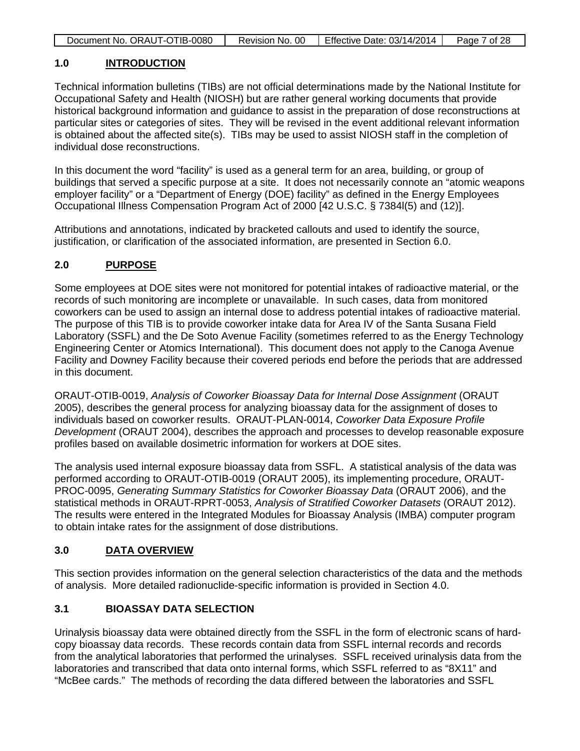| Document No. ORAUT-OTIB-0080 | Revision No. 00 | Effective Date: 03/14/2014 | Page 7 of 28 |
|------------------------------|-----------------|----------------------------|--------------|

#### **1.0 INTRODUCTION**

Technical information bulletins (TIBs) are not official determinations made by the National Institute for Occupational Safety and Health (NIOSH) but are rather general working documents that provide historical background information and guidance to assist in the preparation of dose reconstructions at particular sites or categories of sites. They will be revised in the event additional relevant information is obtained about the affected site(s). TIBs may be used to assist NIOSH staff in the completion of individual dose reconstructions.

In this document the word "facility" is used as a general term for an area, building, or group of buildings that served a specific purpose at a site. It does not necessarily connote an "atomic weapons employer facility" or a "Department of Energy (DOE) facility" as defined in the Energy Employees Occupational Illness Compensation Program Act of 2000 [42 U.S.C. § 7384l(5) and (12)].

Attributions and annotations, indicated by bracketed callouts and used to identify the source, justification, or clarification of the associated information, are presented in Section 6.0.

## **2.0 PURPOSE**

Some employees at DOE sites were not monitored for potential intakes of radioactive material, or the records of such monitoring are incomplete or unavailable. In such cases, data from monitored coworkers can be used to assign an internal dose to address potential intakes of radioactive material. The purpose of this TIB is to provide coworker intake data for Area IV of the Santa Susana Field Laboratory (SSFL) and the De Soto Avenue Facility (sometimes referred to as the Energy Technology Engineering Center or Atomics International). This document does not apply to the Canoga Avenue Facility and Downey Facility because their covered periods end before the periods that are addressed in this document.

ORAUT-OTIB-0019, *Analysis of Coworker Bioassay Data for Internal Dose Assignment* (ORAUT 2005), describes the general process for analyzing bioassay data for the assignment of doses to individuals based on coworker results. ORAUT-PLAN-0014, *Coworker Data Exposure Profile Development* (ORAUT 2004), describes the approach and processes to develop reasonable exposure profiles based on available dosimetric information for workers at DOE sites.

The analysis used internal exposure bioassay data from SSFL. A statistical analysis of the data was performed according to ORAUT-OTIB-0019 (ORAUT 2005), its implementing procedure, ORAUT-PROC-0095, *Generating Summary Statistics for Coworker Bioassay Data* (ORAUT 2006), and the statistical methods in ORAUT-RPRT-0053, *Analysis of Stratified Coworker Datasets* (ORAUT 2012). The results were entered in the Integrated Modules for Bioassay Analysis (IMBA) computer program to obtain intake rates for the assignment of dose distributions.

## **3.0 DATA OVERVIEW**

This section provides information on the general selection characteristics of the data and the methods of analysis. More detailed radionuclide-specific information is provided in Section 4.0.

## **3.1 BIOASSAY DATA SELECTION**

Urinalysis bioassay data were obtained directly from the SSFL in the form of electronic scans of hardcopy bioassay data records. These records contain data from SSFL internal records and records from the analytical laboratories that performed the urinalyses. SSFL received urinalysis data from the laboratories and transcribed that data onto internal forms, which SSFL referred to as "8X11" and "McBee cards." The methods of recording the data differed between the laboratories and SSFL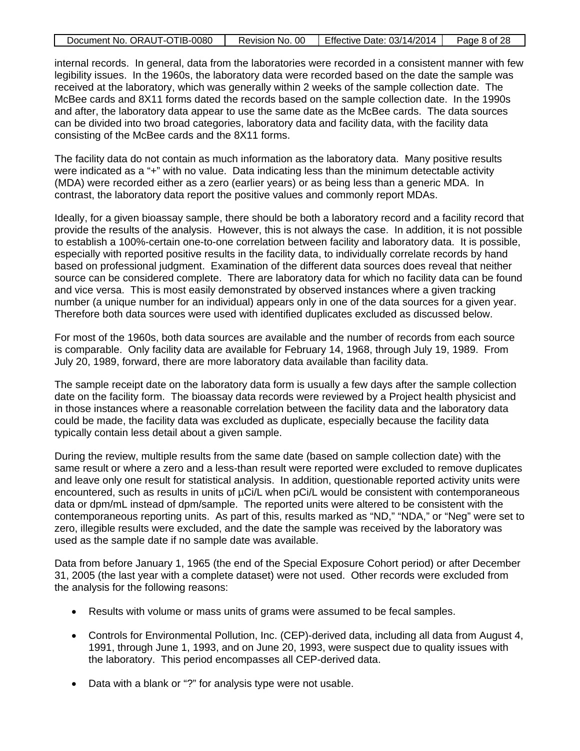|  | Document No. ORAUT-OTIB-0080 |  | Revision No. 00   Effective Date: 03/14/2014 | Page 8 of 28 |
|--|------------------------------|--|----------------------------------------------|--------------|
|--|------------------------------|--|----------------------------------------------|--------------|

internal records. In general, data from the laboratories were recorded in a consistent manner with few legibility issues. In the 1960s, the laboratory data were recorded based on the date the sample was received at the laboratory, which was generally within 2 weeks of the sample collection date. The McBee cards and 8X11 forms dated the records based on the sample collection date. In the 1990s and after, the laboratory data appear to use the same date as the McBee cards. The data sources can be divided into two broad categories, laboratory data and facility data, with the facility data consisting of the McBee cards and the 8X11 forms.

The facility data do not contain as much information as the laboratory data. Many positive results were indicated as a "+" with no value. Data indicating less than the minimum detectable activity (MDA) were recorded either as a zero (earlier years) or as being less than a generic MDA. In contrast, the laboratory data report the positive values and commonly report MDAs.

Ideally, for a given bioassay sample, there should be both a laboratory record and a facility record that provide the results of the analysis. However, this is not always the case. In addition, it is not possible to establish a 100%-certain one-to-one correlation between facility and laboratory data. It is possible, especially with reported positive results in the facility data, to individually correlate records by hand based on professional judgment. Examination of the different data sources does reveal that neither source can be considered complete. There are laboratory data for which no facility data can be found and vice versa. This is most easily demonstrated by observed instances where a given tracking number (a unique number for an individual) appears only in one of the data sources for a given year. Therefore both data sources were used with identified duplicates excluded as discussed below.

For most of the 1960s, both data sources are available and the number of records from each source is comparable. Only facility data are available for February 14, 1968, through July 19, 1989. From July 20, 1989, forward, there are more laboratory data available than facility data.

The sample receipt date on the laboratory data form is usually a few days after the sample collection date on the facility form. The bioassay data records were reviewed by a Project health physicist and in those instances where a reasonable correlation between the facility data and the laboratory data could be made, the facility data was excluded as duplicate, especially because the facility data typically contain less detail about a given sample.

During the review, multiple results from the same date (based on sample collection date) with the same result or where a zero and a less-than result were reported were excluded to remove duplicates and leave only one result for statistical analysis. In addition, questionable reported activity units were encountered, such as results in units of  $\mu$ Ci/L when pCi/L would be consistent with contemporaneous data or dpm/mL instead of dpm/sample. The reported units were altered to be consistent with the contemporaneous reporting units. As part of this, results marked as "ND," "NDA," or "Neg" were set to zero, illegible results were excluded, and the date the sample was received by the laboratory was used as the sample date if no sample date was available.

Data from before January 1, 1965 (the end of the Special Exposure Cohort period) or after December 31, 2005 (the last year with a complete dataset) were not used. Other records were excluded from the analysis for the following reasons:

- Results with volume or mass units of grams were assumed to be fecal samples.
- Controls for Environmental Pollution, Inc. (CEP)-derived data, including all data from August 4, 1991, through June 1, 1993, and on June 20, 1993, were suspect due to quality issues with the laboratory. This period encompasses all CEP-derived data.
- Data with a blank or "?" for analysis type were not usable.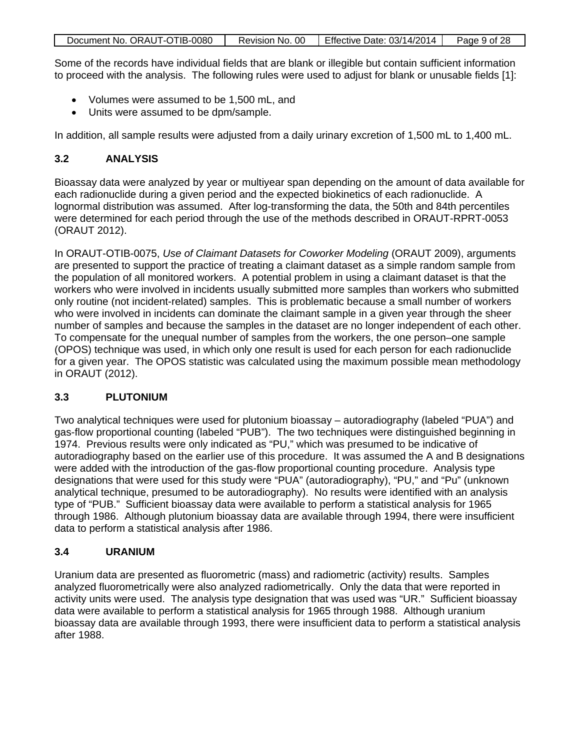| Document No. ORAUT-OTIB-0080 | Revision No. 00 | Effective Date: $03/14/2014$ | Page 9 of 28 |
|------------------------------|-----------------|------------------------------|--------------|
|                              |                 |                              |              |

Some of the records have individual fields that are blank or illegible but contain sufficient information to proceed with the analysis. The following rules were used to adjust for blank or unusable fields [1]:

- Volumes were assumed to be 1,500 mL, and
- Units were assumed to be dpm/sample.

In addition, all sample results were adjusted from a daily urinary excretion of 1,500 mL to 1,400 mL.

## **3.2 ANALYSIS**

Bioassay data were analyzed by year or multiyear span depending on the amount of data available for each radionuclide during a given period and the expected biokinetics of each radionuclide. A lognormal distribution was assumed. After log-transforming the data, the 50th and 84th percentiles were determined for each period through the use of the methods described in ORAUT-RPRT-0053 (ORAUT 2012).

In ORAUT-OTIB-0075, *Use of Claimant Datasets for Coworker Modeling* (ORAUT 2009), arguments are presented to support the practice of treating a claimant dataset as a simple random sample from the population of all monitored workers. A potential problem in using a claimant dataset is that the workers who were involved in incidents usually submitted more samples than workers who submitted only routine (not incident-related) samples. This is problematic because a small number of workers who were involved in incidents can dominate the claimant sample in a given year through the sheer number of samples and because the samples in the dataset are no longer independent of each other. To compensate for the unequal number of samples from the workers, the one person–one sample (OPOS) technique was used, in which only one result is used for each person for each radionuclide for a given year. The OPOS statistic was calculated using the maximum possible mean methodology in ORAUT (2012).

## **3.3 PLUTONIUM**

Two analytical techniques were used for plutonium bioassay – autoradiography (labeled "PUA") and gas-flow proportional counting (labeled "PUB"). The two techniques were distinguished beginning in 1974. Previous results were only indicated as "PU," which was presumed to be indicative of autoradiography based on the earlier use of this procedure. It was assumed the A and B designations were added with the introduction of the gas-flow proportional counting procedure. Analysis type designations that were used for this study were "PUA" (autoradiography), "PU," and "Pu" (unknown analytical technique, presumed to be autoradiography). No results were identified with an analysis type of "PUB." Sufficient bioassay data were available to perform a statistical analysis for 1965 through 1986. Although plutonium bioassay data are available through 1994, there were insufficient data to perform a statistical analysis after 1986.

#### **3.4 URANIUM**

Uranium data are presented as fluorometric (mass) and radiometric (activity) results. Samples analyzed fluorometrically were also analyzed radiometrically. Only the data that were reported in activity units were used. The analysis type designation that was used was "UR." Sufficient bioassay data were available to perform a statistical analysis for 1965 through 1988. Although uranium bioassay data are available through 1993, there were insufficient data to perform a statistical analysis after 1988.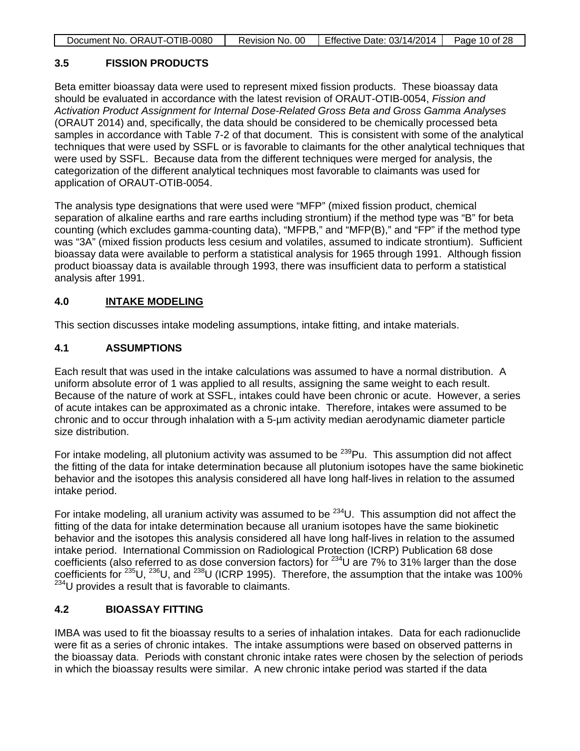|--|

# **3.5 FISSION PRODUCTS**

Beta emitter bioassay data were used to represent mixed fission products. These bioassay data should be evaluated in accordance with the latest revision of ORAUT-OTIB-0054, *Fission and Activation Product Assignment for Internal Dose-Related Gross Beta and Gross Gamma Analyses* (ORAUT 2014) and, specifically, the data should be considered to be chemically processed beta samples in accordance with Table 7-2 of that document. This is consistent with some of the analytical techniques that were used by SSFL or is favorable to claimants for the other analytical techniques that were used by SSFL. Because data from the different techniques were merged for analysis, the categorization of the different analytical techniques most favorable to claimants was used for application of ORAUT-OTIB-0054.

The analysis type designations that were used were "MFP" (mixed fission product, chemical separation of alkaline earths and rare earths including strontium) if the method type was "B" for beta counting (which excludes gamma-counting data), "MFPB," and "MFP(B)," and "FP" if the method type was "3A" (mixed fission products less cesium and volatiles, assumed to indicate strontium). Sufficient bioassay data were available to perform a statistical analysis for 1965 through 1991. Although fission product bioassay data is available through 1993, there was insufficient data to perform a statistical analysis after 1991.

### **4.0 INTAKE MODELING**

This section discusses intake modeling assumptions, intake fitting, and intake materials.

#### **4.1 ASSUMPTIONS**

Each result that was used in the intake calculations was assumed to have a normal distribution. A uniform absolute error of 1 was applied to all results, assigning the same weight to each result. Because of the nature of work at SSFL, intakes could have been chronic or acute. However, a series of acute intakes can be approximated as a chronic intake. Therefore, intakes were assumed to be chronic and to occur through inhalation with a 5-µm activity median aerodynamic diameter particle size distribution.

For intake modeling, all plutonium activity was assumed to be  $^{239}$ Pu. This assumption did not affect the fitting of the data for intake determination because all plutonium isotopes have the same biokinetic behavior and the isotopes this analysis considered all have long half-lives in relation to the assumed intake period.

For intake modeling, all uranium activity was assumed to be  $^{234}$ U. This assumption did not affect the fitting of the data for intake determination because all uranium isotopes have the same biokinetic behavior and the isotopes this analysis considered all have long half-lives in relation to the assumed intake period. International Commission on Radiological Protection (ICRP) Publication 68 dose coefficients (also referred to as dose conversion factors) for  $^{234}$ U are 7% to 31% larger than the dose coefficients for 235U, 236U, and 238U (ICRP 1995). Therefore, the assumption that the intake was 100%  $234$ U provides a result that is favorable to claimants.

## **4.2 BIOASSAY FITTING**

IMBA was used to fit the bioassay results to a series of inhalation intakes. Data for each radionuclide were fit as a series of chronic intakes. The intake assumptions were based on observed patterns in the bioassay data. Periods with constant chronic intake rates were chosen by the selection of periods in which the bioassay results were similar. A new chronic intake period was started if the data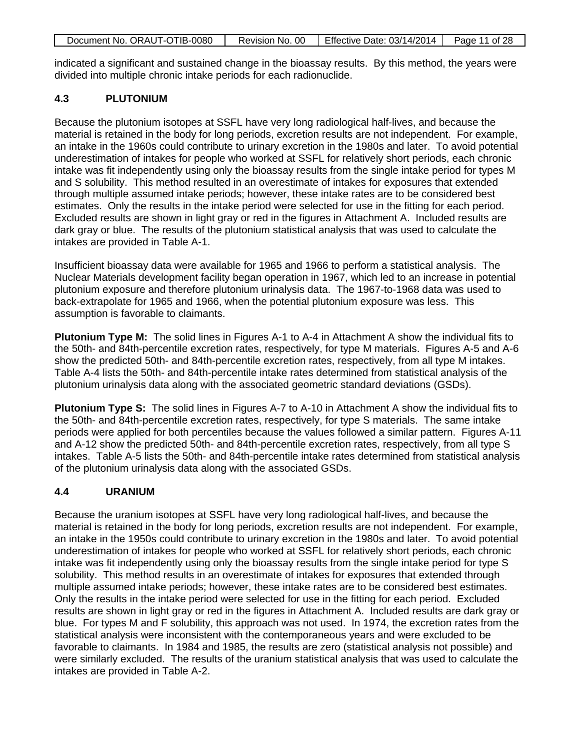| Document No. ORAUT-OTIB-0080 | Revision No. 00 | Effective Date: 03/14/2014 | Page 11 of 28 |
|------------------------------|-----------------|----------------------------|---------------|
|                              |                 |                            |               |

indicated a significant and sustained change in the bioassay results. By this method, the years were divided into multiple chronic intake periods for each radionuclide.

#### **4.3 PLUTONIUM**

Because the plutonium isotopes at SSFL have very long radiological half-lives, and because the material is retained in the body for long periods, excretion results are not independent. For example, an intake in the 1960s could contribute to urinary excretion in the 1980s and later. To avoid potential underestimation of intakes for people who worked at SSFL for relatively short periods, each chronic intake was fit independently using only the bioassay results from the single intake period for types M and S solubility. This method resulted in an overestimate of intakes for exposures that extended through multiple assumed intake periods; however, these intake rates are to be considered best estimates. Only the results in the intake period were selected for use in the fitting for each period. Excluded results are shown in light gray or red in the figures in Attachment A. Included results are dark gray or blue. The results of the plutonium statistical analysis that was used to calculate the intakes are provided in Table A-1.

Insufficient bioassay data were available for 1965 and 1966 to perform a statistical analysis. The Nuclear Materials development facility began operation in 1967, which led to an increase in potential plutonium exposure and therefore plutonium urinalysis data. The 1967-to-1968 data was used to back-extrapolate for 1965 and 1966, when the potential plutonium exposure was less. This assumption is favorable to claimants.

**Plutonium Type M:** The solid lines in Figures A-1 to A-4 in Attachment A show the individual fits to the 50th- and 84th-percentile excretion rates, respectively, for type M materials. Figures A-5 and A-6 show the predicted 50th- and 84th-percentile excretion rates, respectively, from all type M intakes. Table A-4 lists the 50th- and 84th-percentile intake rates determined from statistical analysis of the plutonium urinalysis data along with the associated geometric standard deviations (GSDs).

**Plutonium Type S:** The solid lines in Figures A-7 to A-10 in Attachment A show the individual fits to the 50th- and 84th-percentile excretion rates, respectively, for type S materials. The same intake periods were applied for both percentiles because the values followed a similar pattern. Figures A-11 and A-12 show the predicted 50th- and 84th-percentile excretion rates, respectively, from all type S intakes. Table A-5 lists the 50th- and 84th-percentile intake rates determined from statistical analysis of the plutonium urinalysis data along with the associated GSDs.

#### **4.4 URANIUM**

Because the uranium isotopes at SSFL have very long radiological half-lives, and because the material is retained in the body for long periods, excretion results are not independent. For example, an intake in the 1950s could contribute to urinary excretion in the 1980s and later. To avoid potential underestimation of intakes for people who worked at SSFL for relatively short periods, each chronic intake was fit independently using only the bioassay results from the single intake period for type S solubility. This method results in an overestimate of intakes for exposures that extended through multiple assumed intake periods; however, these intake rates are to be considered best estimates. Only the results in the intake period were selected for use in the fitting for each period. Excluded results are shown in light gray or red in the figures in Attachment A. Included results are dark gray or blue. For types M and F solubility, this approach was not used. In 1974, the excretion rates from the statistical analysis were inconsistent with the contemporaneous years and were excluded to be favorable to claimants. In 1984 and 1985, the results are zero (statistical analysis not possible) and were similarly excluded. The results of the uranium statistical analysis that was used to calculate the intakes are provided in Table A-2.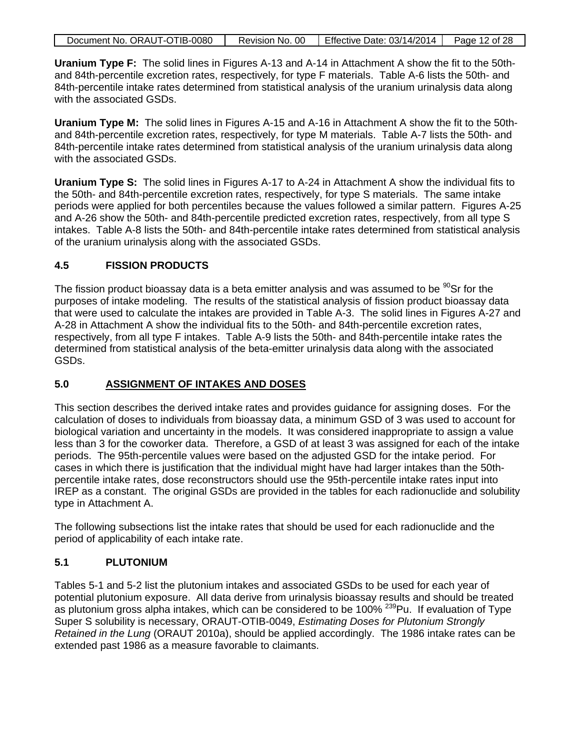| Document No. ORAUT-OTIB-0080<br>Revision No. 00   Effective Date: 03/14/2014  <br>Page 12 of 28 |
|-------------------------------------------------------------------------------------------------|
|-------------------------------------------------------------------------------------------------|

**Uranium Type F:** The solid lines in Figures A-13 and A-14 in Attachment A show the fit to the 50thand 84th-percentile excretion rates, respectively, for type F materials. Table A-6 lists the 50th- and 84th-percentile intake rates determined from statistical analysis of the uranium urinalysis data along with the associated GSDs.

**Uranium Type M:** The solid lines in Figures A-15 and A-16 in Attachment A show the fit to the 50thand 84th-percentile excretion rates, respectively, for type M materials. Table A-7 lists the 50th- and 84th-percentile intake rates determined from statistical analysis of the uranium urinalysis data along with the associated GSDs.

**Uranium Type S:** The solid lines in Figures A-17 to A-24 in Attachment A show the individual fits to the 50th- and 84th-percentile excretion rates, respectively, for type S materials. The same intake periods were applied for both percentiles because the values followed a similar pattern. Figures A-25 and A-26 show the 50th- and 84th-percentile predicted excretion rates, respectively, from all type S intakes. Table A-8 lists the 50th- and 84th-percentile intake rates determined from statistical analysis of the uranium urinalysis along with the associated GSDs.

#### **4.5 FISSION PRODUCTS**

The fission product bioassay data is a beta emitter analysis and was assumed to be  $^{90}$ Sr for the purposes of intake modeling. The results of the statistical analysis of fission product bioassay data that were used to calculate the intakes are provided in Table A-3. The solid lines in Figures A-27 and A-28 in Attachment A show the individual fits to the 50th- and 84th-percentile excretion rates, respectively, from all type F intakes. Table A-9 lists the 50th- and 84th-percentile intake rates the determined from statistical analysis of the beta-emitter urinalysis data along with the associated GSDs.

#### **5.0 ASSIGNMENT OF INTAKES AND DOSES**

This section describes the derived intake rates and provides guidance for assigning doses. For the calculation of doses to individuals from bioassay data, a minimum GSD of 3 was used to account for biological variation and uncertainty in the models. It was considered inappropriate to assign a value less than 3 for the coworker data. Therefore, a GSD of at least 3 was assigned for each of the intake periods. The 95th-percentile values were based on the adjusted GSD for the intake period. For cases in which there is justification that the individual might have had larger intakes than the 50thpercentile intake rates, dose reconstructors should use the 95th-percentile intake rates input into IREP as a constant. The original GSDs are provided in the tables for each radionuclide and solubility type in Attachment A.

The following subsections list the intake rates that should be used for each radionuclide and the period of applicability of each intake rate.

#### **5.1 PLUTONIUM**

Tables 5-1 and 5-2 list the plutonium intakes and associated GSDs to be used for each year of potential plutonium exposure. All data derive from urinalysis bioassay results and should be treated as plutonium gross alpha intakes, which can be considered to be 100% <sup>239</sup>Pu. If evaluation of Type Super S solubility is necessary, ORAUT-OTIB-0049, *Estimating Doses for Plutonium Strongly Retained in the Lung* (ORAUT 2010a), should be applied accordingly. The 1986 intake rates can be extended past 1986 as a measure favorable to claimants.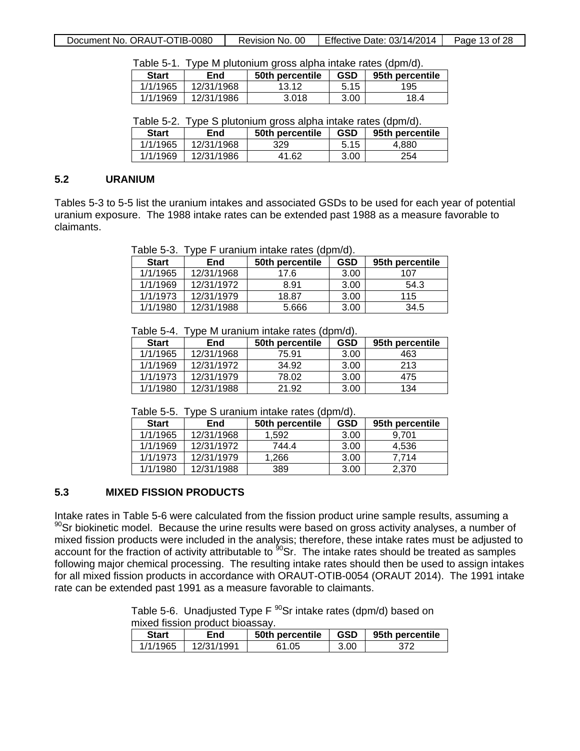| Document No. ORAUT-OTIB-0080 | Revision No. 00 | Effective Date: $03/14/2014$ | Page 13 of 28 |
|------------------------------|-----------------|------------------------------|---------------|
|------------------------------|-----------------|------------------------------|---------------|

Table 5-1. Type M plutonium gross alpha intake rates (dpm/d).

| <b>Start</b> | End        | 50th percentile | <b>GSD</b> | 95th percentile |
|--------------|------------|-----------------|------------|-----------------|
| 1/1/1965     | 12/31/1968 | 13.12           | 5.15       | 195             |
| 1/1/1969     | 12/31/1986 | 3.018           | 3.00       | 18.4            |

Table 5-2. Type S plutonium gross alpha intake rates (dpm/d).

| <b>Start</b> | End        | 50th percentile | <b>GSD</b> | 95th percentile |
|--------------|------------|-----------------|------------|-----------------|
| 1/1/1965     | 12/31/1968 | 329             | 5.15       | 4.880           |
| 1/1/1969     | 12/31/1986 | 41.62           | 3.00       | 254             |

#### **5.2 URANIUM**

Tables 5-3 to 5-5 list the uranium intakes and associated GSDs to be used for each year of potential uranium exposure. The 1988 intake rates can be extended past 1988 as a measure favorable to claimants.

Table 5-3. Type F uranium intake rates (dpm/d).

| <b>Start</b> | End        | 50th percentile | GSD  | 95th percentile |
|--------------|------------|-----------------|------|-----------------|
| 1/1/1965     | 12/31/1968 | 17.6            | 3.00 | 107             |
| 1/1/1969     | 12/31/1972 | 8.91            | 3.00 | 54.3            |
| 1/1/1973     | 12/31/1979 | 18.87           | 3.00 | 115             |
| 1/1/1980     | 12/31/1988 | 5.666           | 3.00 | 34.5            |

Table 5-4. Type M uranium intake rates (dpm/d).

| <b>Start</b> | End        | 50th percentile | <b>GSD</b> | 95th percentile |
|--------------|------------|-----------------|------------|-----------------|
| 1/1/1965     | 12/31/1968 | 75.91           | 3.00       | 463             |
| 1/1/1969     | 12/31/1972 | 34.92           | 3.00       | 213             |
| 1/1/1973     | 12/31/1979 | 78.02           | 3.00       | 475             |
| 1/1/1980     | 12/31/1988 | 21.92           | 3.00       | 134             |

Table 5-5. Type S uranium intake rates (dpm/d).

| <b>Start</b> | End        | 50th percentile | <b>GSD</b> | 95th percentile |
|--------------|------------|-----------------|------------|-----------------|
| 1/1/1965     | 12/31/1968 | 1.592           | 3.00       | 9.701           |
| 1/1/1969     | 12/31/1972 | 744.4           | 3.00       | 4,536           |
| 1/1/1973     | 12/31/1979 | 1.266           | 3.00       | 7.714           |
| 1/1/1980     | 12/31/1988 | 389             | 3.00       | 2.370           |

#### **5.3 MIXED FISSION PRODUCTS**

Intake rates in Table 5-6 were calculated from the fission product urine sample results, assuming a  $90$ Sr biokinetic model. Because the urine results were based on gross activity analyses, a number of mixed fission products were included in the analysis; therefore, these intake rates must be adjusted to account for the fraction of activity attributable to  $^{90}$ Sr. The intake rates should be treated as samples following major chemical processing. The resulting intake rates should then be used to assign intakes for all mixed fission products in accordance with ORAUT-OTIB-0054 (ORAUT 2014). The 1991 intake rate can be extended past 1991 as a measure favorable to claimants.

> Table 5-6. Unadjusted Type  $F^{90}$ Sr intake rates (dpm/d) based on mixed fission product bioassay.

| <b>Start</b> | End        | 50th percentile | <b>GSD</b> | 95th percentile |
|--------------|------------|-----------------|------------|-----------------|
| 1/1/1965     | 12/31/1991 | 61.05           | 3.00       |                 |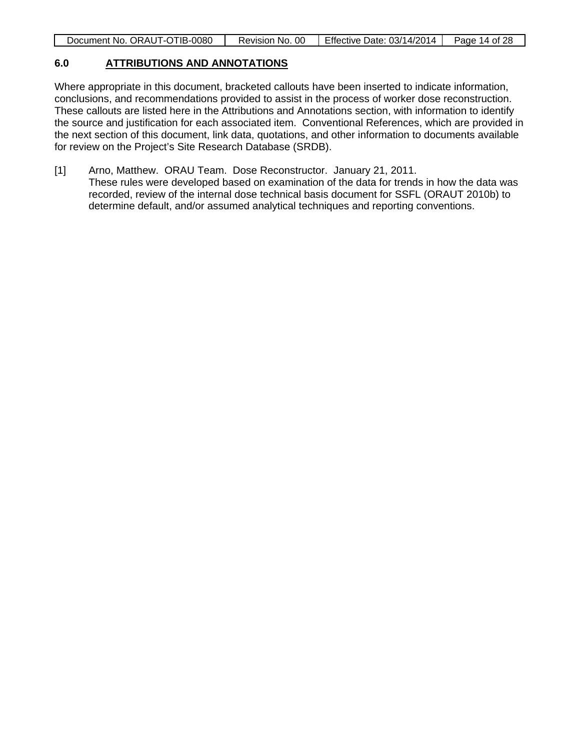| Document No. ORAUT-OTIB-0080<br>Revision No. 00   Effective Date: 03/14/2014<br>Page 14 of 28 |
|-----------------------------------------------------------------------------------------------|
|-----------------------------------------------------------------------------------------------|

#### **6.0 ATTRIBUTIONS AND ANNOTATIONS**

Where appropriate in this document, bracketed callouts have been inserted to indicate information, conclusions, and recommendations provided to assist in the process of worker dose reconstruction. These callouts are listed here in the Attributions and Annotations section, with information to identify the source and justification for each associated item. Conventional References, which are provided in the next section of this document, link data, quotations, and other information to documents available for review on the Project's Site Research Database (SRDB).

[1] Arno, Matthew. ORAU Team. Dose Reconstructor. January 21, 2011. These rules were developed based on examination of the data for trends in how the data was recorded, review of the internal dose technical basis document for SSFL (ORAUT 2010b) to determine default, and/or assumed analytical techniques and reporting conventions.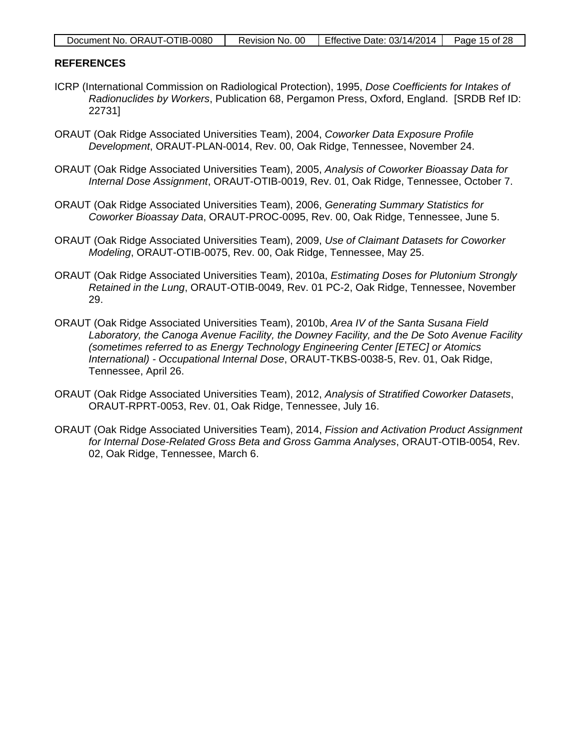| Document No. ORAUT-OTIB-0080 | Revision No. 00 | Effective Date: $03/14/2014$ <sup>1</sup> | Page 15 of 28 |
|------------------------------|-----------------|-------------------------------------------|---------------|
|------------------------------|-----------------|-------------------------------------------|---------------|

#### **REFERENCES**

- ICRP (International Commission on Radiological Protection), 1995, *Dose Coefficients for Intakes of Radionuclides by Workers*, Publication 68, Pergamon Press, Oxford, England. [SRDB Ref ID: 22731]
- ORAUT (Oak Ridge Associated Universities Team), 2004, *Coworker Data Exposure Profile Development*, ORAUT-PLAN-0014, Rev. 00, Oak Ridge, Tennessee, November 24.
- ORAUT (Oak Ridge Associated Universities Team), 2005, *Analysis of Coworker Bioassay Data for Internal Dose Assignment*, ORAUT-OTIB-0019, Rev. 01, Oak Ridge, Tennessee, October 7.
- ORAUT (Oak Ridge Associated Universities Team), 2006, *Generating Summary Statistics for Coworker Bioassay Data*, ORAUT-PROC-0095, Rev. 00, Oak Ridge, Tennessee, June 5.
- ORAUT (Oak Ridge Associated Universities Team), 2009, *Use of Claimant Datasets for Coworker Modeling*, ORAUT-OTIB-0075, Rev. 00, Oak Ridge, Tennessee, May 25.
- ORAUT (Oak Ridge Associated Universities Team), 2010a, *Estimating Doses for Plutonium Strongly Retained in the Lung*, ORAUT-OTIB-0049, Rev. 01 PC-2, Oak Ridge, Tennessee, November 29.
- ORAUT (Oak Ridge Associated Universities Team), 2010b, *Area IV of the Santa Susana Field Laboratory, the Canoga Avenue Facility, the Downey Facility, and the De Soto Avenue Facility (sometimes referred to as Energy Technology Engineering Center [ETEC] or Atomics International) - Occupational Internal Dose*, ORAUT-TKBS-0038-5, Rev. 01, Oak Ridge, Tennessee, April 26.
- ORAUT (Oak Ridge Associated Universities Team), 2012, *Analysis of Stratified Coworker Datasets*, ORAUT-RPRT-0053, Rev. 01, Oak Ridge, Tennessee, July 16.
- ORAUT (Oak Ridge Associated Universities Team), 2014, *Fission and Activation Product Assignment for Internal Dose-Related Gross Beta and Gross Gamma Analyses*, ORAUT-OTIB-0054, Rev. 02, Oak Ridge, Tennessee, March 6.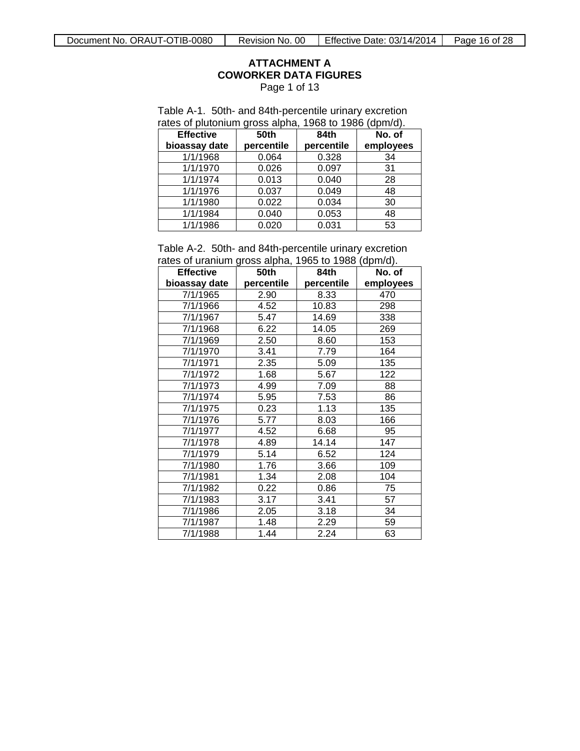# **ATTACHMENT A COWORKER DATA FIGURES**

Page 1 of 13

<span id="page-15-0"></span>

|  |  | Table A-1. 50th- and 84th-percentile urinary excretion |
|--|--|--------------------------------------------------------|
|  |  | rates of plutonium gross alpha, 1968 to 1986 (dpm/d).  |

| <b>Effective</b> | 50th       | 84th       | No. of    |
|------------------|------------|------------|-----------|
| bioassay date    | percentile | percentile | employees |
| 1/1/1968         | 0.064      | 0.328      | 34        |
| 1/1/1970         | 0.026      | 0.097      | 31        |
| 1/1/1974         | 0.013      | 0.040      | 28        |
| 1/1/1976         | 0.037      | 0.049      | 48        |
| 1/1/1980         | 0.022      | 0.034      | 30        |
| 1/1/1984         | 0.040      | 0.053      | 48        |
| 1/1/1986         | 0.020      | 0.031      | 53        |

Table A-2. 50th- and 84th-percentile urinary excretion rates of uranium gross alpha, 1965 to 1988 (dpm/d).

| <b>Effective</b> | 50th       | 84th       | No. of    |
|------------------|------------|------------|-----------|
| bioassay date    | percentile | percentile | employees |
| 7/1/1965         | 2.90       | 8.33       | 470       |
| 7/1/1966         | 4.52       | 10.83      | 298       |
| 7/1/1967         | 5.47       | 14.69      | 338       |
| 7/1/1968         | 6.22       | 14.05      | 269       |
| 7/1/1969         | 2.50       | 8.60       | 153       |
| 7/1/1970         | 3.41       | 7.79       | 164       |
| 7/1/1971         | 2.35       | 5.09       | 135       |
| 7/1/1972         | 1.68       | 5.67       | 122       |
| 7/1/1973         | 4.99       | 7.09       | 88        |
| 7/1/1974         | 5.95       | 7.53       | 86        |
| 7/1/1975         | 0.23       | 1.13       | 135       |
| 7/1/1976         | 5.77       | 8.03       | 166       |
| 7/1/1977         | 4.52       | 6.68       | 95        |
| 7/1/1978         | 4.89       | 14.14      | 147       |
| 7/1/1979         | 5.14       | 6.52       | 124       |
| 7/1/1980         | 1.76       | 3.66       | 109       |
| 7/1/1981         | 1.34       | 2.08       | 104       |
| 7/1/1982         | 0.22       | 0.86       | 75        |
| 7/1/1983         | 3.17       | 3.41       | 57        |
| 7/1/1986         | 2.05       | 3.18       | 34        |
| 7/1/1987         | 1.48       | 2.29       | 59        |
| 7/1/1988         | 1.44       | 2.24       | 63        |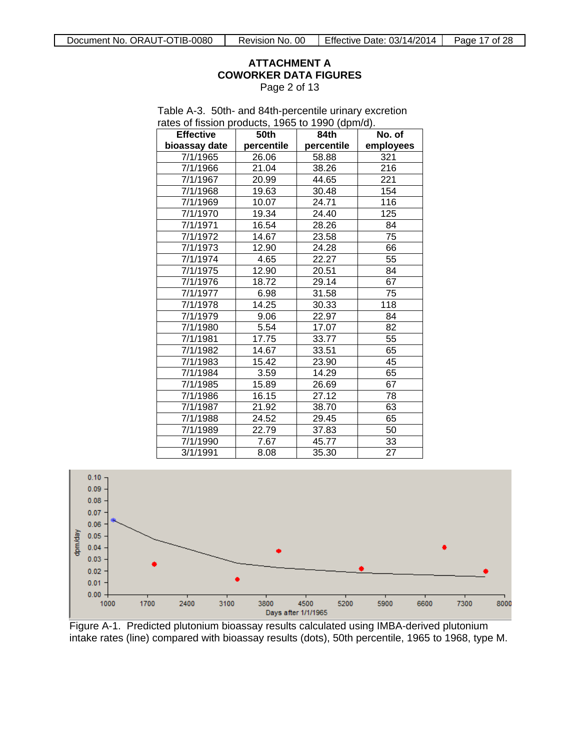#### **ATTACHMENT A COWORKER DATA FIGURES** Page 2 of 13

| <b>Effective</b> | 50th       | 84th       | No. of    |
|------------------|------------|------------|-----------|
| bioassay date    | percentile | percentile | employees |
| 7/1/1965         | 26.06      | 58.88      | 321       |
| 7/1/1966         | 21.04      | 38.26      | 216       |
| 7/1/1967         | 20.99      | 44.65      | 221       |
| 7/1/1968         | 19.63      | 30.48      | 154       |
| 7/1/1969         | 10.07      | 24.71      | 116       |
| 7/1/1970         | 19.34      | 24.40      | 125       |
| 7/1/1971         | 16.54      | 28.26      | 84        |
| 7/1/1972         | 14.67      | 23.58      | 75        |
| 7/1/1973         | 12.90      | 24.28      | 66        |
| 7/1/1974         | 4.65       | 22.27      | 55        |
| 7/1/1975         | 12.90      | 20.51      | 84        |
| 7/1/1976         | 18.72      | 29.14      | 67        |
| 7/1/1977         | 6.98       | 31.58      | 75        |
| 7/1/1978         | 14.25      | 30.33      | 118       |
| 7/1/1979         | 9.06       | 22.97      | 84        |
| 7/1/1980         | 5.54       | 17.07      | 82        |
| 7/1/1981         | 17.75      | 33.77      | 55        |
| 7/1/1982         | 14.67      | 33.51      | 65        |
| 7/1/1983         | 15.42      | 23.90      | 45        |
| 7/1/1984         | 3.59       | 14.29      | 65        |
| 7/1/1985         | 15.89      | 26.69      | 67        |
| 7/1/1986         | 16.15      | 27.12      | 78        |
| 7/1/1987         | 21.92      | 38.70      | 63        |
| 7/1/1988         | 24.52      | 29.45      | 65        |
| 7/1/1989         | 22.79      | 37.83      | 50        |
| 7/1/1990         | 7.67       | 45.77      | 33        |
| 3/1/1991         | 8.08       | 35.30      | 27        |





Figure A-1. Predicted plutonium bioassay results calculated using IMBA-derived plutonium intake rates (line) compared with bioassay results (dots), 50th percentile, 1965 to 1968, type M.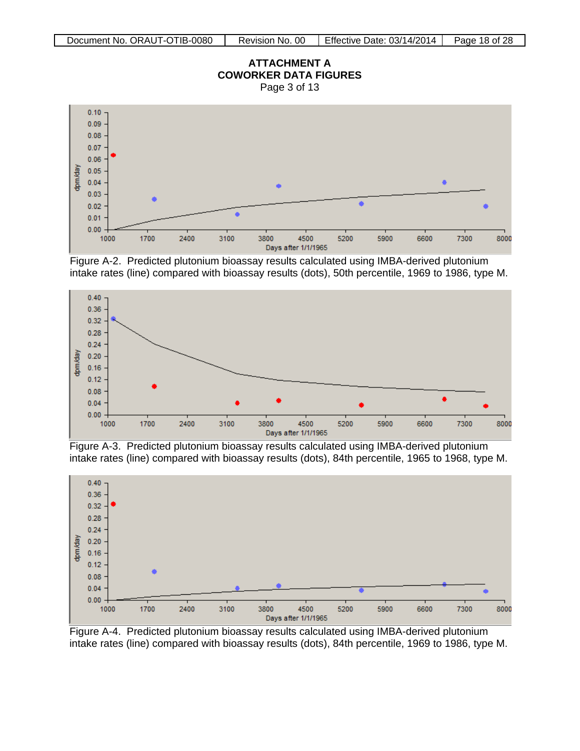# **ATTACHMENT A COWORKER DATA FIGURES**

Page 3 of 13



Figure A-2. Predicted plutonium bioassay results calculated using IMBA-derived plutonium intake rates (line) compared with bioassay results (dots), 50th percentile, 1969 to 1986, type M.



Figure A-3. Predicted plutonium bioassay results calculated using IMBA-derived plutonium intake rates (line) compared with bioassay results (dots), 84th percentile, 1965 to 1968, type M.



Figure A-4. Predicted plutonium bioassay results calculated using IMBA-derived plutonium intake rates (line) compared with bioassay results (dots), 84th percentile, 1969 to 1986, type M.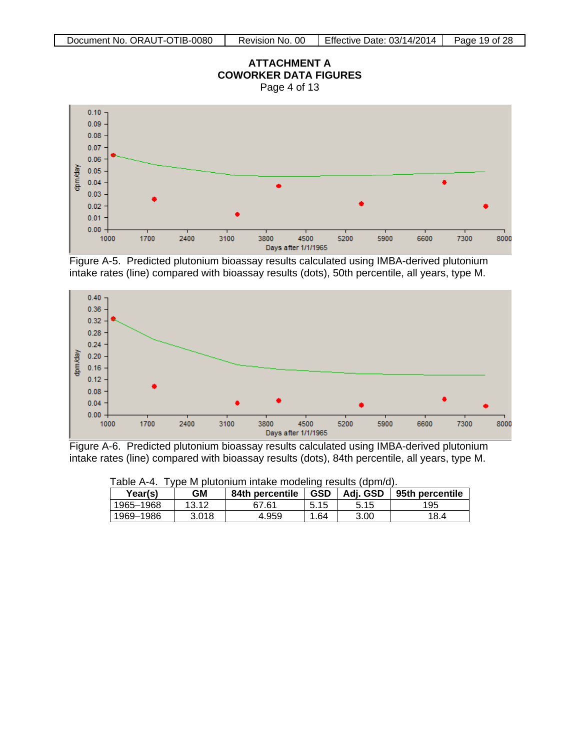

Figure A-5. Predicted plutonium bioassay results calculated using IMBA-derived plutonium intake rates (line) compared with bioassay results (dots), 50th percentile, all years, type M.



Figure A-6. Predicted plutonium bioassay results calculated using IMBA-derived plutonium intake rates (line) compared with bioassay results (dots), 84th percentile, all years, type M.

| Table A-4. Type in pluturium intake modellity results (uphi/u). |       |                 |            |          |                 |  |  |
|-----------------------------------------------------------------|-------|-----------------|------------|----------|-----------------|--|--|
| Year(s)                                                         | GМ    | 84th percentile | <b>GSD</b> | Adi. GSD | 95th percentile |  |  |
| 1965–1968                                                       | 13.12 | 67.61           | 5.15       | 5.15     | 195             |  |  |
| 1969–1986                                                       | 3.018 | 4.959           | .64        | 3.00     | 18.4            |  |  |

Table A-4. Type M plutonium intake modeling results (dpm/d).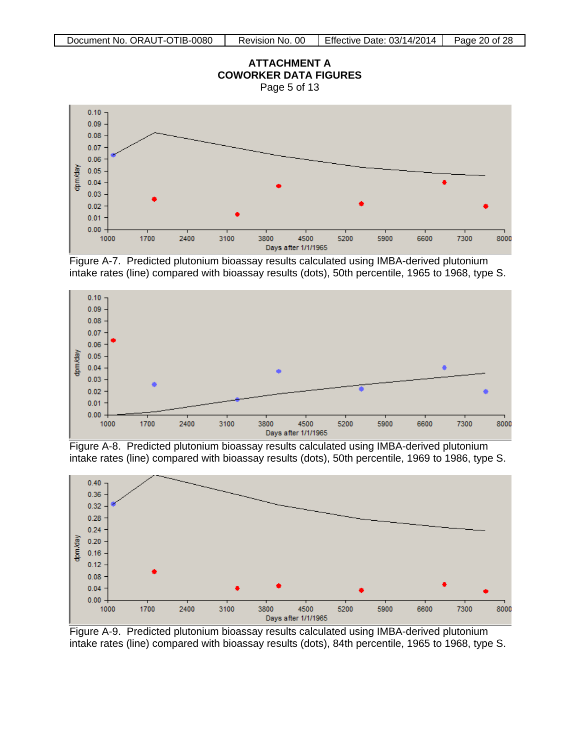

Figure A-7. Predicted plutonium bioassay results calculated using IMBA-derived plutonium intake rates (line) compared with bioassay results (dots), 50th percentile, 1965 to 1968, type S.



Figure A-8. Predicted plutonium bioassay results calculated using IMBA-derived plutonium intake rates (line) compared with bioassay results (dots), 50th percentile, 1969 to 1986, type S.



Figure A-9. Predicted plutonium bioassay results calculated using IMBA-derived plutonium intake rates (line) compared with bioassay results (dots), 84th percentile, 1965 to 1968, type S.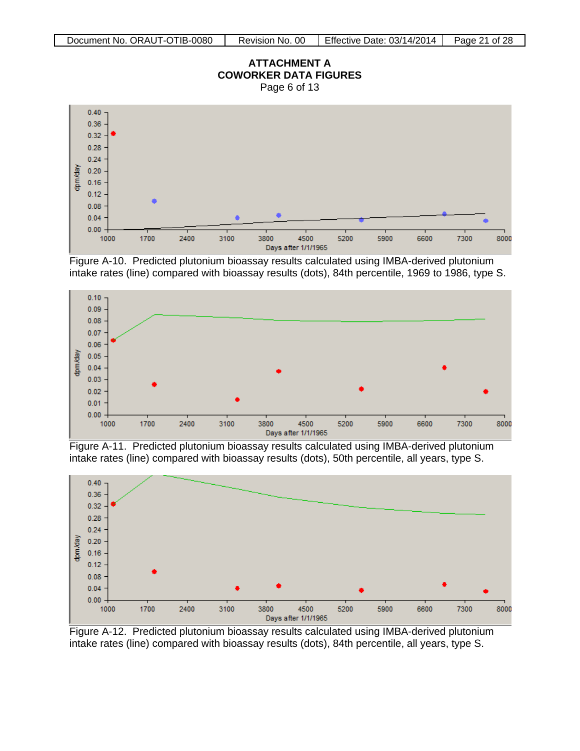# **ATTACHMENT A COWORKER DATA FIGURES**

Page 6 of 13



Figure A-10. Predicted plutonium bioassay results calculated using IMBA-derived plutonium intake rates (line) compared with bioassay results (dots), 84th percentile, 1969 to 1986, type S.



Figure A-11. Predicted plutonium bioassay results calculated using IMBA-derived plutonium intake rates (line) compared with bioassay results (dots), 50th percentile, all years, type S.



Figure A-12. Predicted plutonium bioassay results calculated using IMBA-derived plutonium intake rates (line) compared with bioassay results (dots), 84th percentile, all years, type S.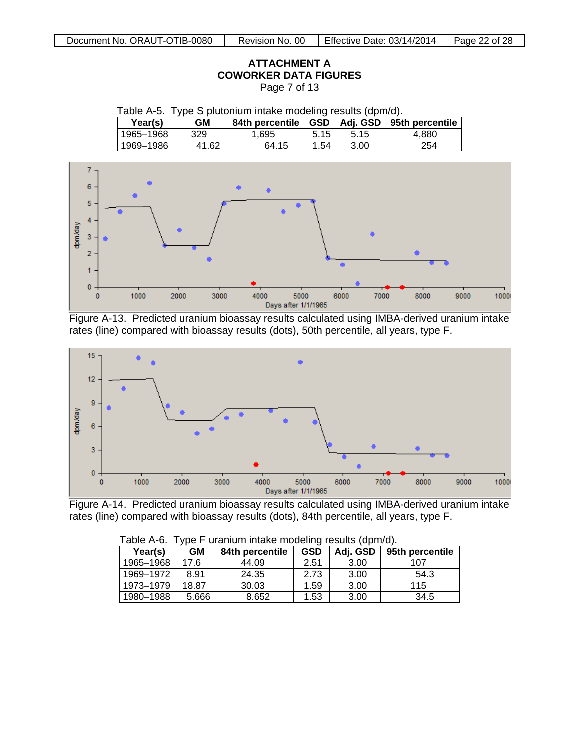# **ATTACHMENT A COWORKER DATA FIGURES**

Page 7 of 13

Table A-5. Type S plutonium intake modeling results (dpm/d).

| Year(s)   | GΜ    | 84th percentile | <b>GSD</b> | Adj. GSD | 95th percentile |
|-----------|-------|-----------------|------------|----------|-----------------|
| 1965-1968 | 329   | . 695           | 5.15       | 5.15     | 4.880           |
| 1969-1986 | 41.62 | 64.15           | .54        | 3.00     | 254             |



Figure A-13. Predicted uranium bioassay results calculated using IMBA-derived uranium intake rates (line) compared with bioassay results (dots), 50th percentile, all years, type F.



Figure A-14. Predicted uranium bioassay results calculated using IMBA-derived uranium intake rates (line) compared with bioassay results (dots), 84th percentile, all years, type F.

| Table A-0.<br>ype r uranium intake modeling results (uphi/u). |       |                 |            |          |                 |  |  |
|---------------------------------------------------------------|-------|-----------------|------------|----------|-----------------|--|--|
| GМ<br>Year(s)                                                 |       | 84th percentile | <b>GSD</b> | Adj. GSD | 95th percentile |  |  |
| 1965-1968                                                     | 17.6  | 44.09           | 2.51       | 3.00     | 107             |  |  |
| 1969-1972                                                     | 8.91  | 24.35           | 2.73       | 3.00     | 54.3            |  |  |
| 1973-1979                                                     | 18.87 | 30.03           | 1.59       | 3.00     | 115             |  |  |
| 1980-1988                                                     | 5.666 | 8.652           | 1.53       | 3.00     | 34.5            |  |  |

| Table A-6. Type F uranium intake modeling results (dpm/d). |  |  |  |  |  |  |  |
|------------------------------------------------------------|--|--|--|--|--|--|--|
|------------------------------------------------------------|--|--|--|--|--|--|--|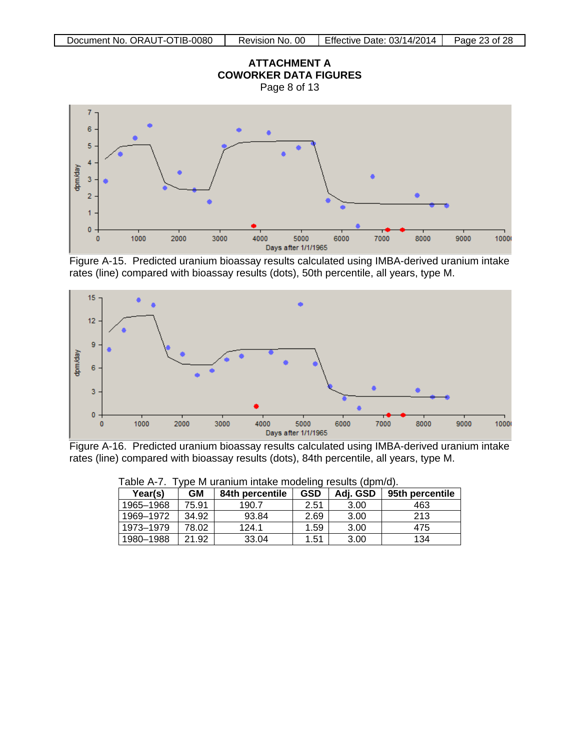





Figure A-15. Predicted uranium bioassay results calculated using IMBA-derived uranium intake rates (line) compared with bioassay results (dots), 50th percentile, all years, type M.



Figure A-16. Predicted uranium bioassay results calculated using IMBA-derived uranium intake rates (line) compared with bioassay results (dots), 84th percentile, all years, type M.

| .<br>$100$ in and from finding inducting reduitor (aprilled). |       |                 |            |          |                 |  |  |
|---------------------------------------------------------------|-------|-----------------|------------|----------|-----------------|--|--|
| Year(s)                                                       | GМ    | 84th percentile | <b>GSD</b> | Adj. GSD | 95th percentile |  |  |
| 1965-1968                                                     | 75.91 | 190.7           | 2.51       | 3.00     | 463             |  |  |
| 1969–1972                                                     | 34.92 | 93.84           | 2.69       | 3.00     | 213             |  |  |
| 1973–1979                                                     | 78.02 | 124.1           | 1.59       | 3.00     | 475             |  |  |
| 1980-1988                                                     | 21.92 | 33.04           | 1.51       | 3.00     | 134             |  |  |

Table A-7. Type M uranium intake modeling results (dpm/d).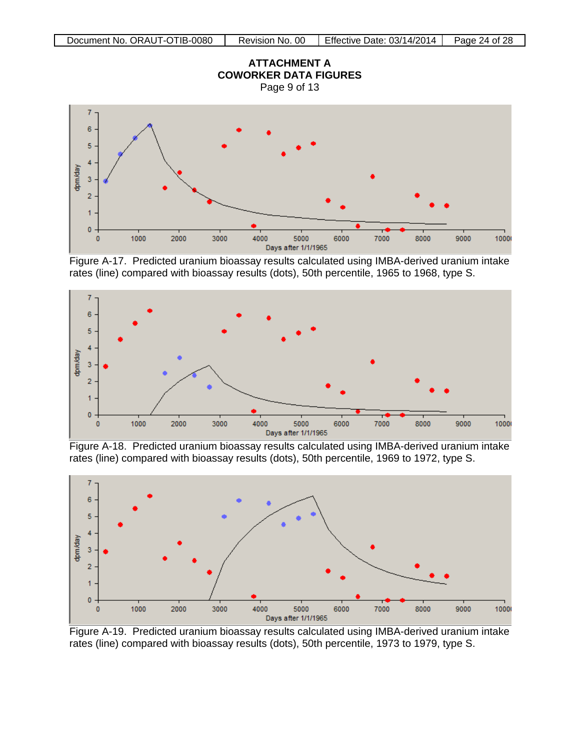

Figure A-17. Predicted uranium bioassay results calculated using IMBA-derived uranium intake rates (line) compared with bioassay results (dots), 50th percentile, 1965 to 1968, type S.



Figure A-18. Predicted uranium bioassay results calculated using IMBA-derived uranium intake rates (line) compared with bioassay results (dots), 50th percentile, 1969 to 1972, type S.



Figure A-19. Predicted uranium bioassay results calculated using IMBA-derived uranium intake rates (line) compared with bioassay results (dots), 50th percentile, 1973 to 1979, type S.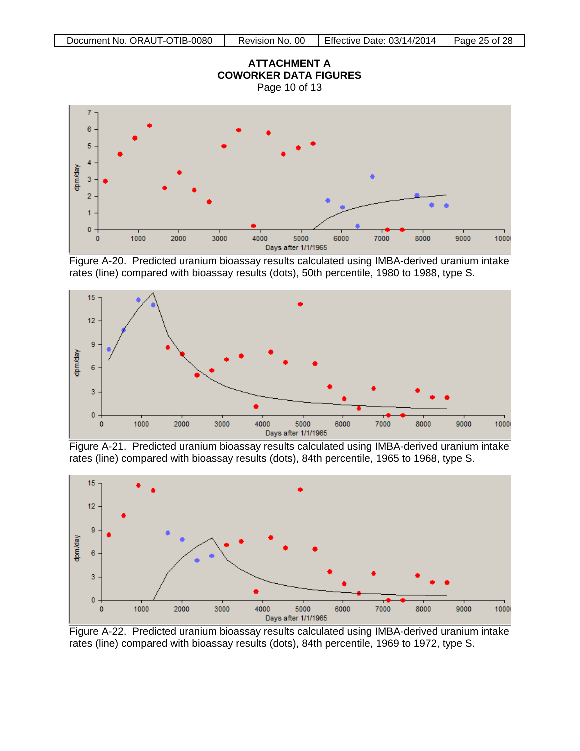

Figure A-20. Predicted uranium bioassay results calculated using IMBA-derived uranium intake rates (line) compared with bioassay results (dots), 50th percentile, 1980 to 1988, type S.



Figure A-21. Predicted uranium bioassay results calculated using IMBA-derived uranium intake rates (line) compared with bioassay results (dots), 84th percentile, 1965 to 1968, type S.



Figure A-22. Predicted uranium bioassay results calculated using IMBA-derived uranium intake rates (line) compared with bioassay results (dots), 84th percentile, 1969 to 1972, type S.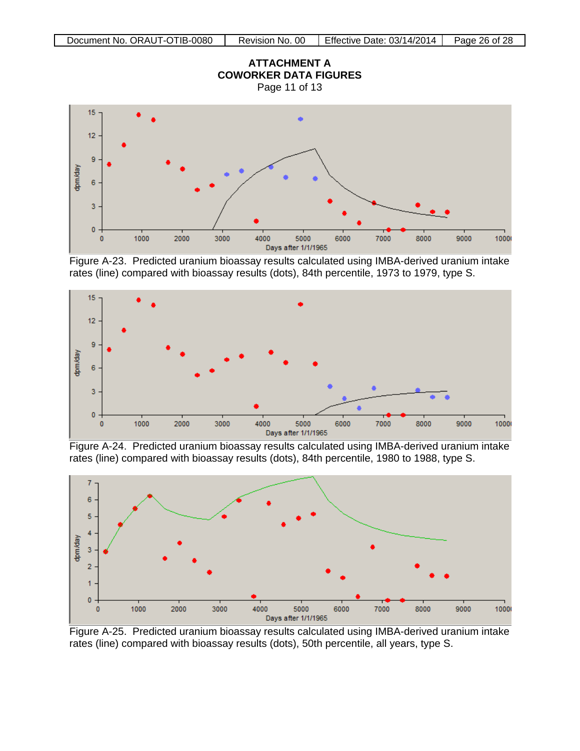

Figure A-23. Predicted uranium bioassay results calculated using IMBA-derived uranium intake rates (line) compared with bioassay results (dots), 84th percentile, 1973 to 1979, type S.



Figure A-24. Predicted uranium bioassay results calculated using IMBA-derived uranium intake rates (line) compared with bioassay results (dots), 84th percentile, 1980 to 1988, type S.



Figure A-25. Predicted uranium bioassay results calculated using IMBA-derived uranium intake rates (line) compared with bioassay results (dots), 50th percentile, all years, type S.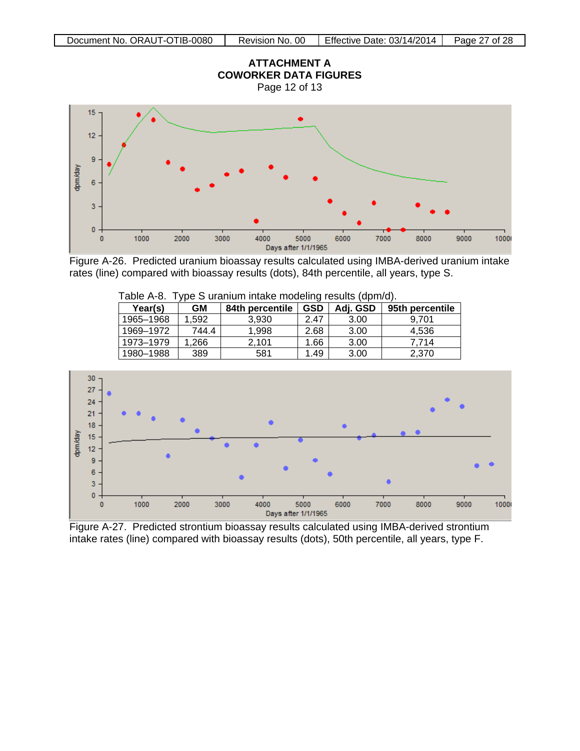

Figure A-26. Predicted uranium bioassay results calculated using IMBA-derived uranium intake rates (line) compared with bioassay results (dots), 84th percentile, all years, type S.

| $1$ apic $\pi$ -v. | ype o aramam intake modeling results (upin/u). |                 |            |          |                 |  |
|--------------------|------------------------------------------------|-----------------|------------|----------|-----------------|--|
| Year(s)<br>GМ      |                                                | 84th percentile | <b>GSD</b> | Adj. GSD | 95th percentile |  |
| 1965-1968          | 1.592                                          | 3.930           | 2.47       | 3.00     | 9.701           |  |
| 1969-1972          | 744.4                                          | 1.998           | 2.68       | 3.00     | 4,536           |  |
| 1973-1979          | .266                                           | 2.101           | 1.66       | 3.00     | 7.714           |  |
| 1980-1988          | 389                                            | 581             | 1.49       | 3.00     | 2.370           |  |

| Table A-8. Type S uranium intake modeling results (dpm/d). |  |  |  |  |
|------------------------------------------------------------|--|--|--|--|
|------------------------------------------------------------|--|--|--|--|



Figure A-27. Predicted strontium bioassay results calculated using IMBA-derived strontium intake rates (line) compared with bioassay results (dots), 50th percentile, all years, type F.